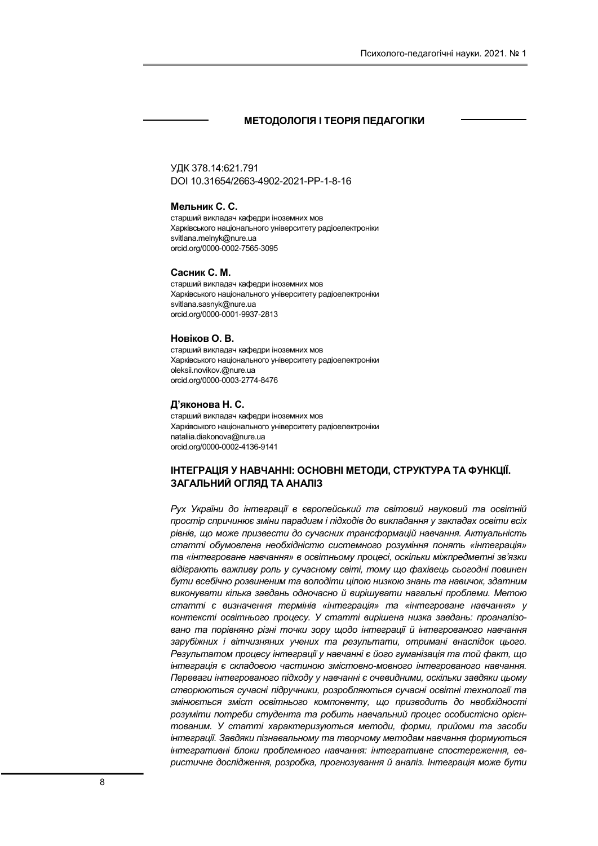## МЕТОДОЛОГІЯ І ТЕОРІЯ ПЕДАГОГІКИ

УДК 378.14:621.791 DOI 10.31654/2663-4902-2021-РР-1-8-16

## Мельник С. С.

старший викладач кафедри іноземних мов Харківського національного університету радіоелектроніки svitlana.melnyk@nure.ua orcid.org/0000-0002-7565-3095

#### Сасник С. М.

старший викладач кафедри іноземних мов Харківського національного університету радіоелектроніки svitlana.sasnyk@nure.ua orcid.org/0000-0001-9937-2813

#### Новіков О. В.

старший викладач кафедри іноземних мов Харківського національного університету радіоелектроніки oleksii.novikov.@nure.ua orcid.org/0000-0003-2774-8476

#### Д'яконова Н. С.

старший викладач кафедри іноземних мов Харківського національного університету радіоелектроніки nataliia.diakonova@nure.ua orcid.org/0000-0002-4136-9141

## ІНТЕГРАЦІЯ У НАВЧАННІ: ОСНОВНІ МЕТОДИ, СТРУКТУРА ТА ФУНКЦІЇ. ЗАГАЛЬНИЙ ОГЛЯД ТА АНАЛІЗ

Рух України до інтеграції в європейський та світовий науковий та освітній простір спричинює зміни парадигм і підходів до викладання у закладах освіти всіх рівнів, що може призвести до сучасних трансформацій навчання. Актуальність статті обумовлена необхідністю системного розуміння понять «інтеграція» та «інтегроване навчання» в освітньому процесі, оскільки міжпредметні зв'язки відіграють важливу роль у сучасному світі, тому що фахівець сьогодні повинен бути всебічно розвиненим та володіти цілою низкою знань та навичок, здатним виконувати кілька завдань одночасно й вирішувати нагальні проблеми. Метою статті є визначення термінів «інтеграція» та «інтегроване навчання» у контексті освітнього процесу. У статті вирішена низка завдань: проаналізовано та порівняно різні точки зору щодо інтеграції й інтегрованого навчання зарубіжних і вітчизняних учених та результати, отримані внаслідок цього. Результатом процесу інтеграції у навчанні є його гуманізація та той факт, що інтеграція є складовою частиною змістовно-мовного інтегрованого навчання. Переваги інтегрованого підходу у навчанні є очевидними, оскільки завдяки цьому створюються сучасні підручники, розробляються сучасні освітні технології та змінюється зміст освітнього компоненту, що призводить до необхідності розуміти потреби студента та робить навчальний процес особистісно орієнтованим. У статті характеризуються методи, форми, прийоми та засоби інтеграції. Завдяки пізнавальному та творчому методам навчання формуються інтегративні блоки проблемного навчання: інтегративне спостереження, евристичне дослідження, розробка, прогнозування й аналіз. Інтеграція може бути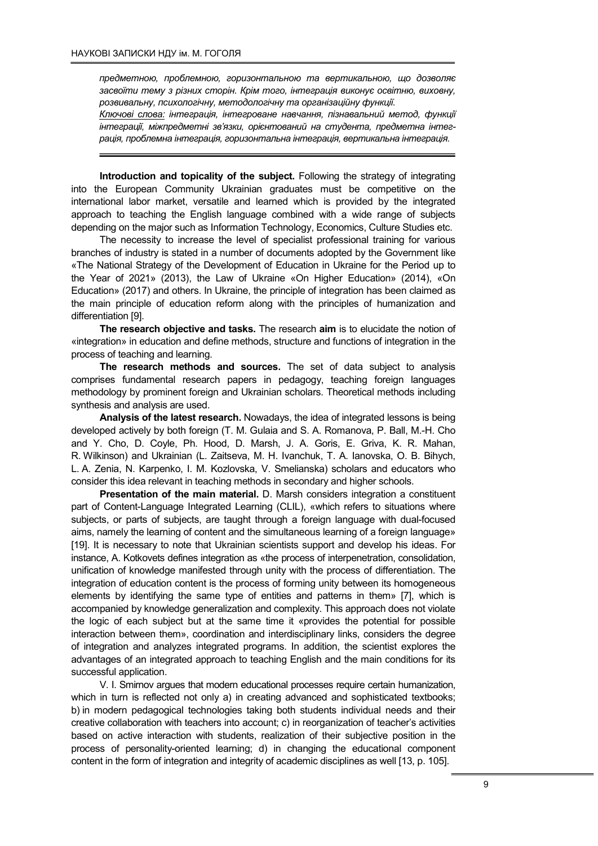предметною, проблемною, горизонтальною та вертикальною, що дозволяє засвоїти тему з різних сторін. Крім того, інтеграція виконує освітню, виховну, розвивальну, психологічну, методологічну та організаційну функції.

Ключові слова: інтеграція, інтегроване навчання, пізнавальний метод, функції інтеграції, міжпредметні зв'язки, орієнтований на студента, предметна інтеграція, проблемна інтеграція, горизонтальна інтеграція, вертикальна інтеграція.

Introduction and topicality of the subject. Following the strategy of integrating into the European Community Ukrainian graduates must be competitive on the international labor market, versatile and learned which is provided by the integrated approach to teaching the English language combined with a wide range of subjects depending on the major such as Information Technology, Economics, Culture Studies etc.

The necessity to increase the level of specialist professional training for various branches of industry is stated in a number of documents adopted by the Government like «The National Strategy of the Development of Education in Ukraine for the Period up to the Year of 2021» (2013), the Law of Ukraine «On Higher Education» (2014), «On Education» (2017) and others. In Ukraine, the principle of integration has been claimed as the main principle of education reform along with the principles of humanization and differentiation [9].

The research objective and tasks. The research aim is to elucidate the notion of «integration» in education and define methods, structure and functions of integration in the process of teaching and learning.

The research methods and sources. The set of data subject to analysis comprises fundamental research papers in pedagogy, teaching foreign languages methodology by prominent foreign and Ukrainian scholars. Theoretical methods including synthesis and analysis are used.

Analysis of the latest research. Nowadays, the idea of integrated lessons is being developed actively by both foreign (T. M. Gulaia and S. A. Romanova, P. Ball, M.-H. Cho and Y. Cho, D. Coyle, Ph. Hood, D. Marsh, J. A. Goris, E. Griva, K. R. Mahan, R. Wilkinson) and Ukrainian (L. Zaitseva, M. H. Ivanchuk, T. A. Ianovska, O. B. Bihych, L. A. Zenia, N. Karpenko, I. M. Kozlovska, V. Smelianska) scholars and educators who consider this idea relevant in teaching methods in secondary and higher schools.

Presentation of the main material. D. Marsh considers integration a constituent part of Content-Language Integrated Learning (CLIL), «which refers to situations where subjects, or parts of subjects, are taught through a foreign language with dual-focused aims, namely the learning of content and the simultaneous learning of a foreign language» [19]. It is necessary to note that Ukrainian scientists support and develop his ideas. For instance, A. Kotkovets defines integration as «the process of interpenetration, consolidation, unification of knowledge manifested through unity with the process of differentiation. The integration of education content is the process of forming unity between its homogeneous elements by identifying the same type of entities and patterns in them» [7], which is accompanied by knowledge generalization and complexity. This approach does not violate the logic of each subject but at the same time it «provides the potential for possible interaction between them», coordination and interdisciplinary links, considers the degree of integration and analyzes integrated programs. In addition, the scientist explores the advantages of an integrated approach to teaching English and the main conditions for its successful application.

V. I. Smirnov argues that modern educational processes require certain humanization, which in turn is reflected not only a) in creating advanced and sophisticated textbooks; b) in modern pedagogical technologies taking both students individual needs and their creative collaboration with teachers into account; c) in reorganization of teacher's activities based on active interaction with students, realization of their subjective position in the process of personality-oriented learning; d) in changing the educational component content in the form of integration and integrity of academic disciplines as well [13, p. 105].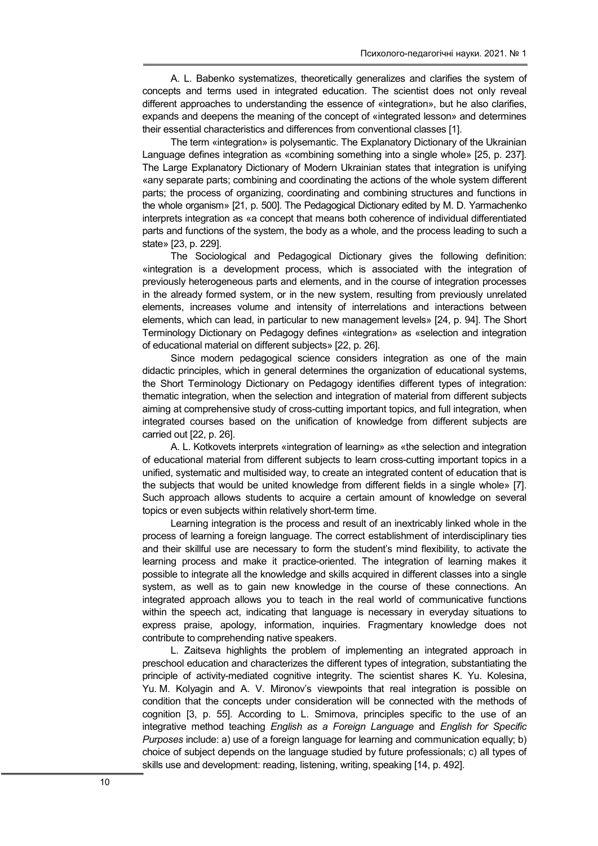A. L. Babenko systematizes, theoretically generalizes and clarifies the system of concepts and terms used in integrated education. The scientist does not only reveal different approaches to understanding the essence of «integration», but he also clarifies, expands and deepens the meaning of the concept of «integrated lesson» and determines their essential characteristics and differences from conventional classes [1].

The term «integration» is polysemantic. The Explanatory Dictionary of the Ukrainian Language defines integration as «combining something into a single whole» [25, p. 237]. The Large Explanatory Dictionary of Modern Ukrainian states that integration is unifying «any separate parts; combining and coordinating the actions of the whole system different parts; the process of organizing, coordinating and combining structures and functions in the whole organism» [21, p. 500]. The Pedagogical Dictionary edited by M. D. Yarmachenko interprets integration as «a concept that means both coherence of individual differentiated parts and functions of the system, the body as a whole, and the process leading to such a state» [23, p. 229].

The Sociological and Pedagogical Dictionary gives the following definition: «integration is a development process, which is associated with the integration of previously heterogeneous parts and elements, and in the course of integration processes in the already formed system, or in the new system, resulting from previously unrelated elements, increases volume and intensity of interrelations and interactions between elements, which can lead, in particular to new management levels» [24, p. 94]. The Short Terminology Dictionary on Pedagogy defines «integration» as «selection and integration of educational material on different subjects» [22, p. 26].

Since modern pedagogical science considers integration as one of the main didactic principles, which in general determines the organization of educational systems, the Short Terminology Dictionary on Pedagogy identifies different types of integration: thematic integration, when the selection and integration of material from different subjects aiming at comprehensive study of cross-cutting important topics, and full integration, when integrated courses based on the unification of knowledge from different subjects are carried out [22, p. 26].

A. L. Kotkovets interprets «integration of learning» as «the selection and integration of educational material from different subjects to learn cross-cutting important topics in a unified, systematic and multisided way, to create an integrated content of education that is the subjects that would be united knowledge from different fields in a single whole» [7]. Such approach allows students to acquire a certain amount of knowledge on several topics or even subjects within relatively short-term time.

Learning integration is the process and result of an inextricably linked whole in the process of learning a foreign language. The correct establishment of interdisciplinary ties and their skillful use are necessary to form the student's mind flexibility, to activate the learning process and make it practice-oriented. The integration of learning makes it possible to integrate all the knowledge and skills acquired in different classes into a single system, as well as to gain new knowledge in the course of these connections. An integrated approach allows you to teach in the real world of communicative functions within the speech act, indicating that language is necessary in everyday situations to express praise, apology, information, inquiries. Fragmentary knowledge does not contribute to comprehending native speakers.

L. Zaitseva highlights the problem of implementing an integrated approach in preschool education and characterizes the different types of integration, substantiating the principle of activity-mediated cognitive integrity. The scientist shares K. Yu. Kolesina, Yu. M. Kolyagin and A. V. Mironov's viewpoints that real integration is possible on condition that the concepts under consideration will be connected with the methods of cognition [3, p. 55]. According to L. Smirnova, principles specific to the use of an integrative method teaching English as a Foreign Language and English for Specific Purposes include: a) use of a foreign language for learning and communication equally; b) choice of subject depends on the language studied by future professionals; c) all types of skills use and development: reading, listening, writing, speaking [14, p. 492].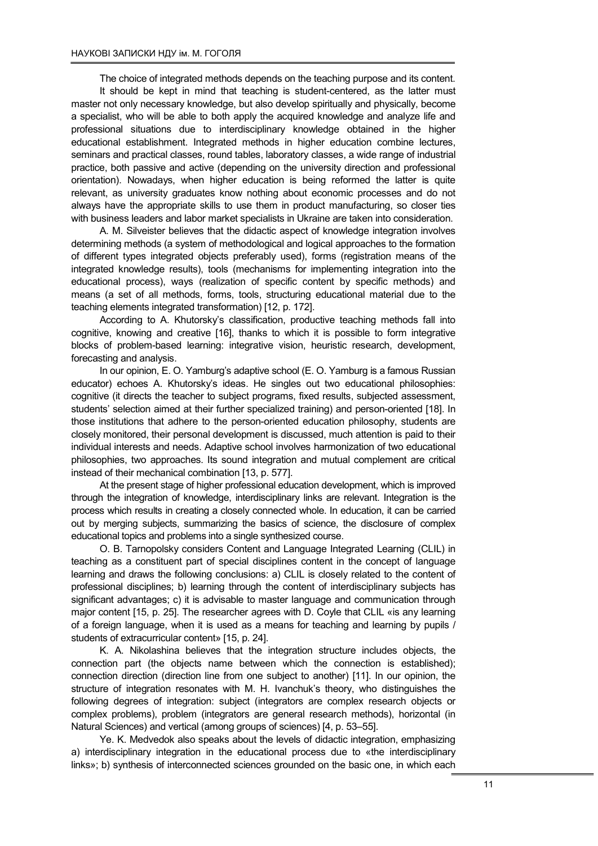The choice of integrated methods depends on the teaching purpose and its content. It should be kept in mind that teaching is student-centered, as the latter must master not only necessary knowledge, but also develop spiritually and physically, become a specialist, who will be able to both apply the acquired knowledge and analyze life and professional situations due to interdisciplinary knowledge obtained in the higher educational establishment. Integrated methods in higher education combine lectures, seminars and practical classes, round tables, laboratory classes, a wide range of industrial practice, both passive and active (depending on the university direction and professional orientation). Nowadays, when higher education is being reformed the latter is quite relevant, as university graduates know nothing about economic processes and do not always have the appropriate skills to use them in product manufacturing, so closer ties with business leaders and labor market specialists in Ukraine are taken into consideration.

A. M. Silveister believes that the didactic aspect of knowledge integration involves determining methods (a system of methodological and logical approaches to the formation of different types integrated objects preferably used), forms (registration means of the integrated knowledge results), tools (mechanisms for implementing integration into the educational process), ways (realization of specific content by specific methods) and means (a set of all methods, forms, tools, structuring educational material due to the teaching elements integrated transformation) [12, p. 172].

According to A. Khutorsky's classification, productive teaching methods fall into cognitive, knowing and creative [16], thanks to which it is possible to form integrative blocks of problem-based learning: integrative vision, heuristic research, development, forecasting and analysis.

In our opinion, E. O. Yamburg's adaptive school (E. O. Yamburg is a famous Russian educator) echoes A. Khutorsky's ideas. He singles out two educational philosophies: cognitive (it directs the teacher to subject programs, fixed results, subjected assessment, students' selection aimed at their further specialized training) and person-oriented [18]. In those institutions that adhere to the person-oriented education philosophy, students are closely monitored, their personal development is discussed, much attention is paid to their individual interests and needs. Adaptive school involves harmonization of two educational philosophies, two approaches. Its sound integration and mutual complement are critical instead of their mechanical combination [13, p. 577].

At the present stage of higher professional education development, which is improved through the integration of knowledge, interdisciplinary links are relevant. Integration is the process which results in creating a closely connected whole. In education, it can be carried out by merging subjects, summarizing the basics of science, the disclosure of complex educational topics and problems into a single synthesized course.

O. B. Tarnopolsky considers Content and Language Integrated Learning (CLIL) in teaching as a constituent part of special disciplines content in the concept of language learning and draws the following conclusions: a) CLIL is closely related to the content of professional disciplines; b) learning through the content of interdisciplinary subjects has significant advantages; c) it is advisable to master language and communication through major content [15, p. 25]. The researcher agrees with D. Coyle that CLIL «is any learning of a foreign language, when it is used as a means for teaching and learning by pupils / students of extracurricular content» [15, p. 24].

K. A. Nikolashina believes that the integration structure includes objects, the connection part (the objects name between which the connection is established); connection direction (direction line from one subject to another) [11]. In our opinion, the structure of integration resonates with M. H. Ivanchuk's theory, who distinguishes the following degrees of integration: subject (integrators are complex research objects or complex problems), problem (integrators are general research methods), horizontal (in Natural Sciences) and vertical (among groups of sciences) [4, p. 53–55].

Ye. K. Medvedok also speaks about the levels of didactic integration, emphasizing a) interdisciplinary integration in the educational process due to «the interdisciplinary links»; b) synthesis of interconnected sciences grounded on the basic one, in which each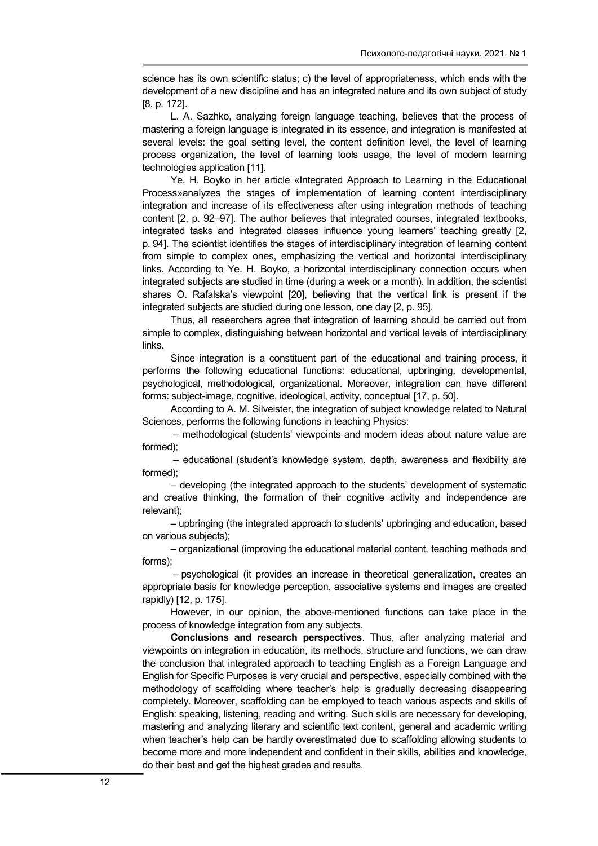science has its own scientific status; c) the level of appropriateness, which ends with the development of a new discipline and has an integrated nature and its own subject of study [8, p. 172].

L. A. Sazhko, analyzing foreign language teaching, believes that the process of mastering a foreign language is integrated in its essence, and integration is manifested at several levels: the goal setting level, the content definition level, the level of learning process organization, the level of learning tools usage, the level of modern learning technologies application [11].

Ye. H. Boyko in her article «Integrated Approach to Learning in the Educational Process»analyzes the stages of implementation of learning content interdisciplinary integration and increase of its effectiveness after using integration methods of teaching content [2, p. 92–97]. The author believes that integrated courses, integrated textbooks, integrated tasks and integrated classes influence young learners' teaching greatly [2, p. 94]. The scientist identifies the stages of interdisciplinary integration of learning content from simple to complex ones, emphasizing the vertical and horizontal interdisciplinary links. According to Ye. H. Boyko, a horizontal interdisciplinary connection occurs when integrated subjects are studied in time (during a week or a month). In addition, the scientist shares О. Rafalska's viewpoint [20], believing that the vertical link is present if the integrated subjects are studied during one lesson, one day [2, p. 95].

Thus, all researchers agree that integration of learning should be carried out from simple to complex, distinguishing between horizontal and vertical levels of interdisciplinary links.

Since integration is a constituent part of the educational and training process, it performs the following educational functions: educational, upbringing, developmental, psychological, methodological, organizational. Moreover, integration can have different forms: subject-image, cognitive, ideological, activity, conceptual [17, p. 50].

According to A. M. Silveister, the integration of subject knowledge related to Natural Sciences, performs the following functions in teaching Physics:

– methodological (students' viewpoints and modern ideas about nature value are formed);

– educational (student's knowledge system, depth, awareness and flexibility are formed);

– developing (the integrated approach to the students' development of systematic and creative thinking, the formation of their cognitive activity and independence are relevant);

– upbringing (the integrated approach to students' upbringing and education, based on various subjects);

– organizational (improving the educational material content, teaching methods and forms);

– psychological (it provides an increase in theoretical generalization, creates an appropriate basis for knowledge perception, associative systems and images are created rapidly) [12, p. 175].

However, in our opinion, the above-mentioned functions can take place in the process of knowledge integration from any subjects.

Conclusions and research perspectives. Thus, after analyzing material and viewpoints on integration in education, its methods, structure and functions, we can draw the conclusion that integrated approach to teaching English as a Foreign Language and English for Specific Purposes is very crucial and perspective, especially combined with the methodology of scaffolding where teacher's help is gradually decreasing disappearing completely. Moreover, scaffolding can be employed to teach various aspects and skills of English: speaking, listening, reading and writing. Such skills are necessary for developing, mastering and analyzing literary and scientific text content, general and academic writing when teacher's help can be hardly overestimated due to scaffolding allowing students to become more and more independent and confident in their skills, abilities and knowledge, do their best and get the highest grades and results.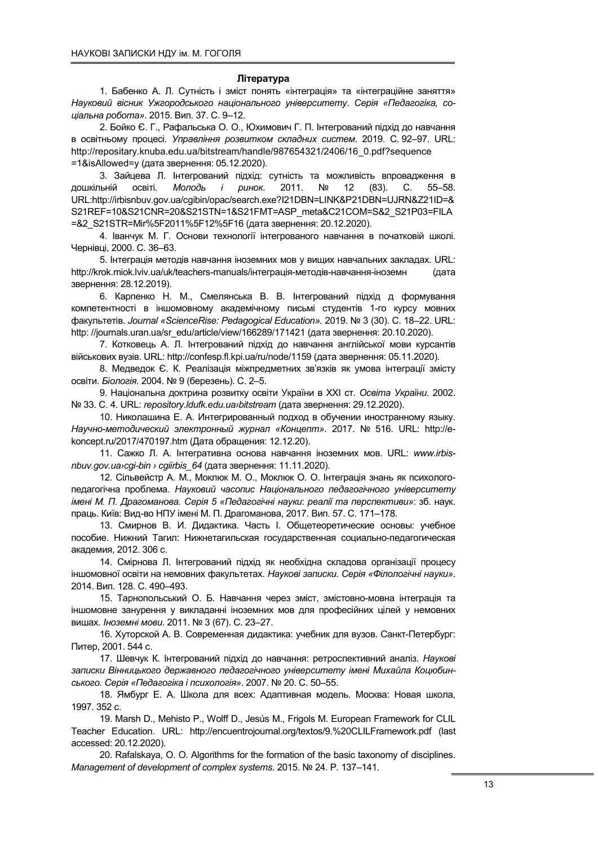#### Література

1. Бабенко А. Л. Сутність і зміст понять «інтеграція» та «інтеграційне заняття» Науковий вісник Ужгородського національного університету. Серія «Педагогіка, соціальна робота». 2015. Вип. 37. С. 9–12.

2. Бойко Є. Г., Рафальська О. О., Юхимович Г. П. Інтегрований підхід до навчання в освітньому процесі. Управління розвитком складних систем. 2019. C. 92–97. URL: http://repositary.knuba.edu.ua/bitstream/handle/987654321/2406/16\_0.pdf?sequence =1&isAllowed=y (дата звернення: 05.12.2020).

3. Зайцева Л. Інтегрований підхід: сутність та можливість впровадження в дошкільній освіті. Молодь і ринок. 2011. № 12 (83). С. 55-58. URL:http://irbisnbuv.gov.ua/cgibin/opac/search.exe?I21DBN=LINK&P21DBN=UJRN&Z21ID=& S21REF=10&S21CNR=20&S21STN=1&S21FMT=ASP\_meta&C21COM=S&2\_S21P03=FILA =&2\_S21STR=Mir%5F2011%5F12%5F16 (дата звернення: 20.12.2020).

4. Іванчук М. Г. Основи технології інтегрованого навчання в початковій школі. Чернівці, 2000. С. 36–63.

5. Інтеграція методів навчання іноземних мов у вищих навчальних закладах. URL: http://krok.miok.lviv.ua/uk/teachers-manuals/інтеграція-методів-навчання-іноземн (дата звернення: 28.12.2019).

6. Карпенко Н. М., Смелянська В. В. Інтегрований підхід д формування компетентності в іншомовному академічному письмі студентів 1-го курсу мовних факультетів. Journal «ScienceRise: Pedagogical Education». 2019. № 3 (30). С. 18–22. URL: http: //journals.uran.ua/sr\_edu/article/view/166289/171421 (дата звернення: 20.10.2020).

7. Котковець А. Л. Інтегрований підхід до навчання англійської мови курсантів військових вузів. URL: http://confesp.fl.kpi.ua/ru/node/1159 (дата звернення: 05.11.2020).

8. Медведок Є. К. Реалізація міжпредметних зв'язків як умова інтеграції змісту освіти. Біологія. 2004. № 9 (березень). С. 2–5.

9. Національна доктрина розвитку освіти України в ХХІ ст. Освіта України. 2002. № 33. С. 4. URL: repository.ldufk.edu.ua›bitstream (дата звернення: 29.12.2020).

10. Николашина Е. А. Интегрированный подход в обучении иностранному языку. Научно-методический электронный журнал «Концепт». 2017. № 516. URL: http://ekoncept.ru/2017/470197.htm (Дата обращения: 12.12.20).

11. Сажко Л. А. Інтегративна основа навчання іноземних мов. URL: www.irbisnbuv.gov.ua›cgi-bin › cgiirbis\_64 (дата звернення: 11.11.2020).

12. Сільвейстр А. М., Моклюк М. О., Моклюк О. О. Інтеграція знань як психологопедагогічна проблема. Науковий часопис Національного педагогічного університету імені М. П. Драгоманова. Серія 5 «Педагогічні науки: реалії та перспективи»: зб. наук. праць. Київ: Вид-во НПУ імені М. П. Драгоманова, 2017. Вип. 57. С. 171–178.

13. Смирнов В. И. Дидактика. Часть I. Общетеоретические основы: учебное пособие. Нижний Тагил: Нижнетагильская государственная социально-педагогическая академия, 2012. 306 с.

14. Смірнова Л. Інтегрований підхід як необхідна складова організації процесу іншомовної освіти на немовних факультетах. Наукові записки. Серія «Філологічні науки». 2014. Вип. 128. С. 490–493.

15. Тарнопольський О. Б. Навчання через зміст, змістовно-мовна інтеграція та іншомовне занурення у викладанні іноземних мов для професійних цілей у немовних вишах. Іноземні мови. 2011. № 3 (67). С. 23–27.

16. Хуторской А. В. Современная дидактика: учебник для вузов. Санкт-Петербург: Питер, 2001. 544 с.

17. Шевчук К. Інтегрований підхід до навчання: ретроспективний аналіз. Наукові записки Вінницького державного педагогічного університету імені Михайла Коцюбинського. Серія «Педагогіка і психологія». 2007. № 20. С. 50–55.

18. Ямбург Е. А. Школа для всех: Адаптивная модель. Москва: Новая школа, 1997. 352 с.

19. Marsh D., Mehisto P., Wolff D., Jesús M., Frigols M. European Framework for CLIL Teacher Education. URL: http://encuentrojournal.org/textos/9.%20CLILFramework.pdf (last accessed: 20.12.2020).

20. Rafalskaya, O. O. Algorithms for the formation of the basic taxonomy of disciplines. Management of development of complex systems. 2015. № 24. Р. 137–141.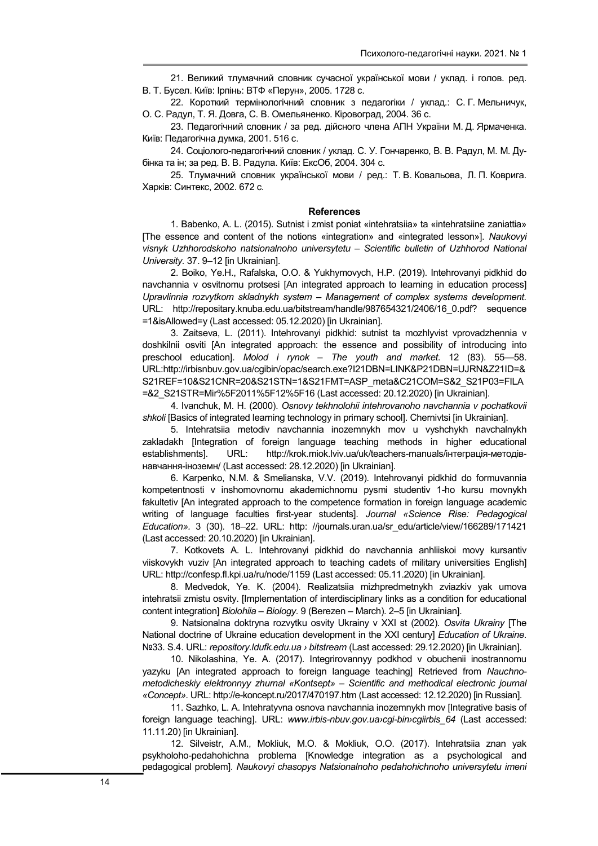21. Великий тлумачний словник сучасної української мови / уклад. і голов. ред. В. Т. Бусел. Київ: Ірпінь: ВТФ «Перун», 2005. 1728 с.

22. Короткий термінологічний словник з педагогіки / уклад.: С. Г. Мельничук, О. С. Радул, Т. Я. Довга, С. В. Омельяненко. Кіровоград, 2004. 36 с.

23. Педагогічний словник / за ред. дійсного члена АПН України М. Д. Ярмаченка. Київ: Педагогічна думка, 2001. 516 с.

24. Соціолого-педагогічний словник / уклад. С. У. Гончаренко, В. В. Радул, М. М. Дубінка та ін; за ред. В. В. Радула. Київ: ЕксОб, 2004. 304 с.

25. Тлумачний словник української мови / ред.: Т. В. Ковальова, Л. П. Коврига. Харків: Синтекс, 2002. 672 с.

#### **References**

1. Babenko, A. L. (2015). Sutnist i zmist poniat «intehratsiia» ta «intehratsiine zaniattia» [The essence and content of the notions «integration» and «integrated lesson»]. Naukovyi visnyk Uzhhorodskoho natsionalnoho universytetu – Scientific bulletin of Uzhhorod National University. 37. 9–12 [in Ukrainian].

2. Boiko, Ye.H., Rafalska, O.O. & Yukhymovych, H.P. (2019). Intehrovanyi pidkhid do navchannia v osvitnomu protsesi [An integrated approach to learning in education process] Upravlinnia rozvytkom skladnykh system – Management of complex systems development. URL: http://repositary.knuba.edu.ua/bitstream/handle/987654321/2406/16\_0.pdf? sequence =1&isAllowed=y (Last accessed: 05.12.2020) [in Ukrainian].

3. Zaitseva, L. (2011). Intehrovanyi pidkhid: sutnist ta mozhlyvist vprovadzhennia v doshkilnii osviti [An integrated approach: the essence and possibility of introducing into preschool education]. Molod i rynok – The youth and market. 12 (83). 55—58. URL:http://irbisnbuv.gov.ua/cgibin/opac/search.exe?I21DBN=LINK&P21DBN=UJRN&Z21ID=& S21REF=10&S21CNR=20&S21STN=1&S21FMT=ASP\_meta&C21COM=S&2\_S21P03=FILA =&2\_S21STR=Mir%5F2011%5F12%5F16 (Last accessed: 20.12.2020) [in Ukrainian].

4. Ivanchuk, M. H. (2000). Osnovy tekhnolohii intehrovanoho navchannia v pochatkovii shkoli [Basics of integrated learning technology in primary school]. Chernivtsi [in Ukrainian].

5. Intehratsiia metodiv navchannia inozemnykh mov u vyshchykh navchalnykh zakladakh [Integration of foreign language teaching methods in higher educational establishments]. URL: http://krok.miok.lviv.ua/uk/teachers-manuals/інтеграція-методівнавчання-іноземн/ (Last accessed: 28.12.2020) [in Ukrainian].

6. Karpenko, N.M. & Smelianska, V.V. (2019). Intehrovanyi pidkhid do formuvannia kompetentnosti v inshomovnomu akademichnomu pysmi studentiv 1-ho kursu movnykh fakultetiv [An integrated approach to the competence formation in foreign language academic writing of language faculties first-year students]. Journal «Science Rise: Pedagogical Education». 3 (30). 18–22. URL: http: //journals.uran.ua/sr\_edu/article/view/166289/171421 (Last accessed: 20.10.2020) [in Ukrainian].

7. Kotkovets A. L. Intehrovanyi pidkhid do navchannia anhliiskoi movy kursantiv viiskovykh vuziv [An integrated approach to teaching cadets of military universities English] URL: http://confesp.fl.kpi.ua/ru/node/1159 (Last accessed: 05.11.2020) [in Ukrainian].

8. Medvedok, Ye. K. (2004). Realizatsiia mizhpredmetnykh zviazkiv yak umova intehratsii zmistu osvity. [Implementation of interdisciplinary links as a condition for educational content integration] Biolohiia – Biology. 9 (Berezen – March). 2–5 [in Ukrainian].

9. Natsionalna doktryna rozvytku osvity Ukrainy v XXI st (2002). Osvita Ukrainy IThe National doctrine of Ukraine education development in the XXI century] Education of Ukraine. Nº33. S.4. URL: repository.ldufk.edu.ua > bitstream (Last accessed: 29.12.2020) [in Ukrainian].

10. Nikolashina, Ye. A. (2017). Integrirovannyy podkhod v obuchenii inostrannomu yazyku [An integrated approach to foreign language teaching] Retrieved from Nauchnometodicheskiy elektronnyy zhurnal «Kontsept» – Scientific and methodical electronic journal «Concept». URL: http://e-koncept.ru/2017/470197.htm (Last accessed: 12.12.2020) [in Russian].

11. Sazhko, L. A. Intehratyvna osnova navchannia inozemnykh mov [Integrative basis of foreign language teaching]. URL: www.irbis-nbuv.gov.ua›cgi-bin›cgiirbis\_64 (Last accessed: 11.11.20) [in Ukrainian].

12. Silveistr, A.M., Mokliuk, M.O. & Mokliuk, O.O. (2017). Intehratsiia znan yak psykholoho-pedahohichna problema [Knowledge integration as a psychological and pedagogical problem]. Naukovyi chasopys Natsionalnoho pedahohichnoho universytetu imeni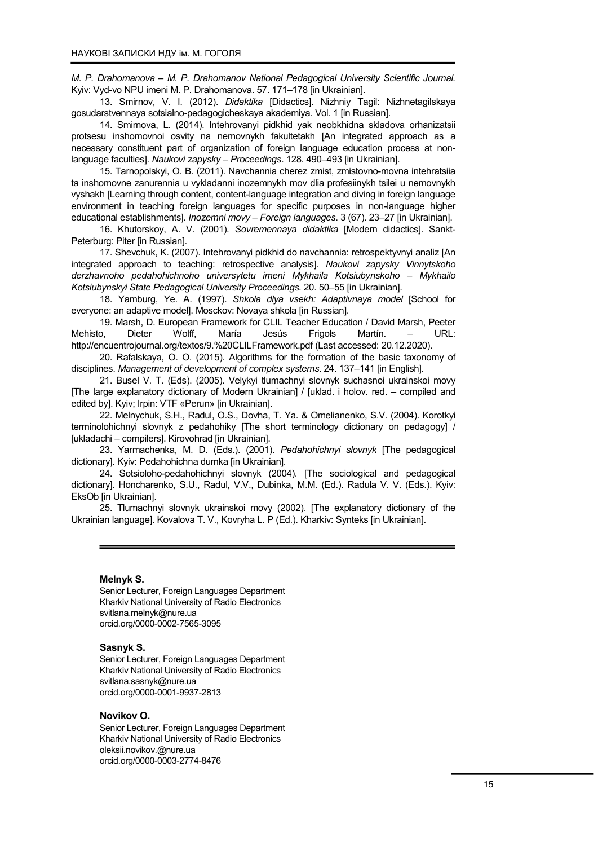M. P. Drahomanova – M. P. Drahomanov National Pedagogical University Scientific Journal. Kyiv: Vyd-vo NPU imeni M. P. Drahomanova. 57. 171–178 [in Ukrainian].

13. Smirnov, V. I. (2012). Didaktika [Didactics]. Nizhniy Tagil: Nizhnetagilskaya gosudarstvennaya sotsialno-pedagogicheskaya akademiya. Vol. 1 [in Russian].

14. Smirnova, L. (2014). Intehrovanyi pidkhid yak neobkhidna skladova orhanizatsii protsesu inshomovnoi osvity na nemovnykh fakultetakh [An integrated approach as a necessary constituent part of organization of foreign language education process at nonlanguage faculties]. Naukovi zapysky – Proceedings. 128. 490–493 [in Ukrainian].

15. Tarnopolskyi, O. B. (2011). Navchannia cherez zmist, zmistovno-movna intehratsiia ta inshomovne zanurennia u vykladanni inozemnykh mov dlia profesiinykh tsilei u nemovnykh vyshakh [Learning through content, content-language integration and diving in foreign language environment in teaching foreign languages for specific purposes in non-language higher educational establishments]. Inozemni movy – Foreign languages. 3 (67). 23–27 [in Ukrainian].

16. Khutorskoy, A. V. (2001). Sovremennaya didaktika [Modern didactics]. Sankt-Peterburg: Piter [in Russian].

17. Shevchuk, K. (2007). Intehrovanyi pidkhid do navchannia: retrospektyvnyi analiz [An integrated approach to teaching: retrospective analysis]. Naukovi zapysky Vinnytskoho derzhavnoho pedahohichnoho universytetu imeni Mykhaila Kotsiubynskoho – Mykhailo Kotsiubynskyi State Pedagogical University Proceedings. 20. 50–55 [in Ukrainian].

18. Yamburg, Ye. A. (1997). Shkola dlya vsekh: Adaptivnaya model [School for everyone: an adaptive model]. Mosckov: Novaya shkola [in Russian].

19. Marsh, D. European Framework for CLIL Teacher Education / David Marsh, Peeter Mehisto, Dieter Wolff, María Jesús Frigols Martín. – URL: http://encuentrojournal.org/textos/9.%20CLILFramework.pdf (Last accessed: 20.12.2020).

20. Rafalskaya, O. O. (2015). Algorithms for the formation of the basic taxonomy of disciplines. Management of development of complex systems. 24. 137–141 [in English].

21. Busel V. T. (Eds). (2005). Velykyi tlumachnyi slovnyk suchasnoi ukrainskoi movy [The large explanatory dictionary of Modern Ukrainian] / [uklad. i holov. red. – compiled and edited by]. Kyiv; Irpin: VTF «Perun» [in Ukrainian].

22. Melnychuk, S.H., Radul, O.S., Dovha, T. Ya. & Omelianenko, S.V. (2004). Korotkyi terminolohichnyi slovnyk z pedahohiky [The short terminology dictionary on pedagogy] / [ukladachi – compilers]. Kirovohrad [in Ukrainian].

23. Yarmachenka, M. D. (Eds.). (2001). Pedahohichnyi slovnyk [The pedagogical dictionary]. Kyiv: Pedahohichna dumka [in Ukrainian].

24. Sotsioloho-pedahohichnyi slovnyk (2004). [The sociological and pedagogical dictionary]. Honcharenko, S.U., Radul, V.V., Dubinka, M.M. (Ed.). Radula V. V. (Eds.). Kyiv: EksOb [in Ukrainian].

25. Tlumachnyi slovnyk ukrainskoi movy (2002). [The explanatory dictionary of the Ukrainian language]. Kovalova T. V., Kovryha L. P (Ed.). Kharkiv: Synteks [in Ukrainian].

### Melnyk S.

Senior Lecturer, Foreign Languages Department Kharkiv National University of Radio Electronics svitlana.melnyk@nure.ua orcid.org/0000-0002-7565-3095

#### Sasnyk S.

Senior Lecturer, Foreign Languages Department Kharkiv National University of Radio Electronics svitlana.sasnyk@nure.ua orcid.org/0000-0001-9937-2813

#### Novikov O.

Senior Lecturer, Foreign Languages Department Kharkiv National University of Radio Electronics oleksii.novikov.@nure.ua orcid.org/0000-0003-2774-8476